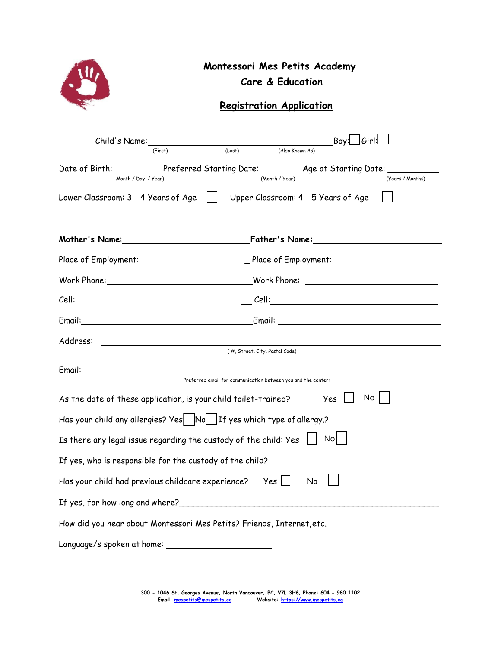|                                                                                 | Montessori Mes Petits Academy<br><b>Care &amp; Education</b><br><b>Registration Application</b>                                                                                                                                                                                                                                                                                                                                                                                           |
|---------------------------------------------------------------------------------|-------------------------------------------------------------------------------------------------------------------------------------------------------------------------------------------------------------------------------------------------------------------------------------------------------------------------------------------------------------------------------------------------------------------------------------------------------------------------------------------|
| Child's Name:__________<br>(First)                                              | $\overline{\phantom{0}}$ $\overline{\phantom{0}}$ $\overline{\phantom{0}}$ $\overline{\phantom{0}}$ $\overline{\phantom{0}}$ $\overline{\phantom{0}}$ $\overline{\phantom{0}}$ $\overline{\phantom{0}}$ $\overline{\phantom{0}}$ $\overline{\phantom{0}}$ $\overline{\phantom{0}}$ $\overline{\phantom{0}}$ $\overline{\phantom{0}}$ $\overline{\phantom{0}}$ $\overline{\phantom{0}}$ $\overline{\phantom{0}}$ $\overline{\phantom{0}}$ $\overline{\phantom{0}}$ $\overline{\$<br>(Last) |
| Month / Day / Year)                                                             | Date of Birth:___________Preferred Starting Date:_________ Age at Starting Date: _______<br>(Month / Year)<br>(Years / Months)                                                                                                                                                                                                                                                                                                                                                            |
|                                                                                 | Lower Classroom: 3 - 4 Years of Age     Upper Classroom: 4 - 5 Years of Age                                                                                                                                                                                                                                                                                                                                                                                                               |
|                                                                                 |                                                                                                                                                                                                                                                                                                                                                                                                                                                                                           |
|                                                                                 |                                                                                                                                                                                                                                                                                                                                                                                                                                                                                           |
|                                                                                 |                                                                                                                                                                                                                                                                                                                                                                                                                                                                                           |
|                                                                                 |                                                                                                                                                                                                                                                                                                                                                                                                                                                                                           |
|                                                                                 | Email: Email: Email: Email: Email: Email: Email: Email: Email: Email: Email: Email: Email: Email: Email: Email: Email: Email: Email: Email: Email: Email: Email: Email: Email: Email: Email: Email: Email: Email: Email: Email                                                                                                                                                                                                                                                            |
|                                                                                 |                                                                                                                                                                                                                                                                                                                                                                                                                                                                                           |
|                                                                                 | (#, Street, City, Postal Code)<br>Preferred email for communication between you and the center:                                                                                                                                                                                                                                                                                                                                                                                           |
| As the date of these application, is your child toilet-trained?                 | No<br>Yes                                                                                                                                                                                                                                                                                                                                                                                                                                                                                 |
|                                                                                 | Has your child any allergies? Yes Now If yes which type of allergy.? _______________________________                                                                                                                                                                                                                                                                                                                                                                                      |
| Is there any legal issue regarding the custody of the child: Yes $\Box$         | No                                                                                                                                                                                                                                                                                                                                                                                                                                                                                        |
|                                                                                 | If yes, who is responsible for the custody of the child? _______________________                                                                                                                                                                                                                                                                                                                                                                                                          |
| Has your child had previous childcare experience? $\forall$ es $\vert \vert$ No |                                                                                                                                                                                                                                                                                                                                                                                                                                                                                           |
|                                                                                 |                                                                                                                                                                                                                                                                                                                                                                                                                                                                                           |
|                                                                                 | How did you hear about Montessori Mes Petits? Friends, Internet,etc. ______________________________                                                                                                                                                                                                                                                                                                                                                                                       |
| Language/s spoken at home: _______________________                              |                                                                                                                                                                                                                                                                                                                                                                                                                                                                                           |